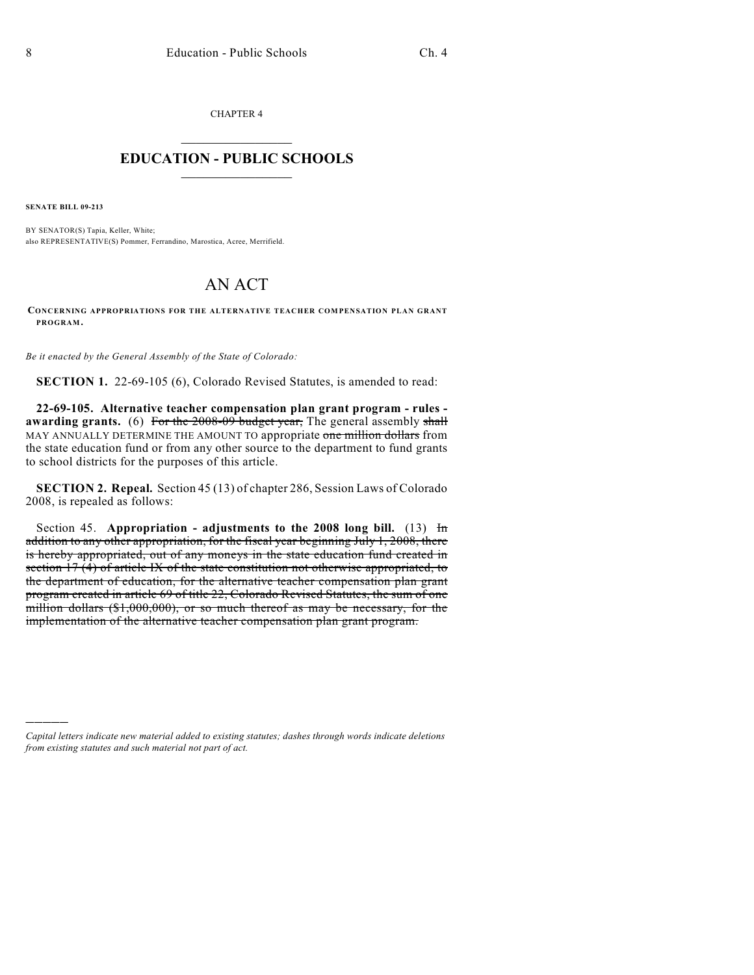CHAPTER 4  $\mathcal{L}_\text{max}$  . The set of the set of the set of the set of the set of the set of the set of the set of the set of the set of the set of the set of the set of the set of the set of the set of the set of the set of the set

## **EDUCATION - PUBLIC SCHOOLS**  $\_$   $\_$   $\_$   $\_$   $\_$   $\_$   $\_$   $\_$   $\_$

**SENATE BILL 09-213**

)))))

BY SENATOR(S) Tapia, Keller, White; also REPRESENTATIVE(S) Pommer, Ferrandino, Marostica, Acree, Merrifield.

## AN ACT

**CONCERNING APPROPRIATIONS FOR THE ALTERNATIVE TEACHER COMPENSATION PLAN GRANT PROGRAM.** 

*Be it enacted by the General Assembly of the State of Colorado:*

**SECTION 1.** 22-69-105 (6), Colorado Revised Statutes, is amended to read:

**22-69-105. Alternative teacher compensation plan grant program - rules awarding grants.** (6) For the 2008-09 budget year, The general assembly shall MAY ANNUALLY DETERMINE THE AMOUNT TO appropriate one million dollars from the state education fund or from any other source to the department to fund grants to school districts for the purposes of this article.

**SECTION 2. Repeal.** Section 45 (13) of chapter 286, Session Laws of Colorado 2008, is repealed as follows:

Section 45. **Appropriation - adjustments to the 2008 long bill.** (13) In addition to any other appropriation, for the fiscal year beginning July 1, 2008, there is hereby appropriated, out of any moneys in the state education fund created in section 17 (4) of article IX of the state constitution not otherwise appropriated, to the department of education, for the alternative teacher compensation plan grant program created in article 69 of title 22, Colorado Revised Statutes, the sum of one million dollars (\$1,000,000), or so much thereof as may be necessary, for the implementation of the alternative teacher compensation plan grant program.

*Capital letters indicate new material added to existing statutes; dashes through words indicate deletions from existing statutes and such material not part of act.*